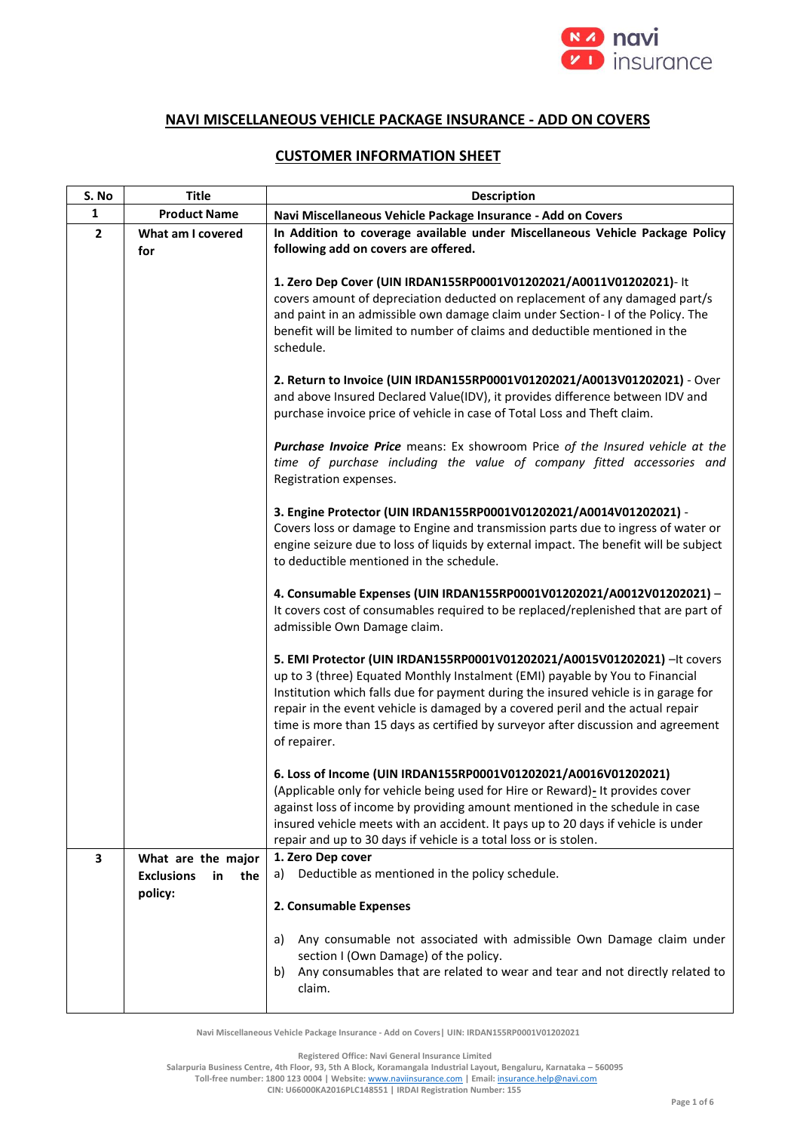

## **NAVI MISCELLANEOUS VEHICLE PACKAGE INSURANCE - ADD ON COVERS**

## **CUSTOMER INFORMATION SHEET**

| S. No          | <b>Title</b>                   | <b>Description</b>                                                                                                                                                                                                                                                                                                                                                                                                                       |
|----------------|--------------------------------|------------------------------------------------------------------------------------------------------------------------------------------------------------------------------------------------------------------------------------------------------------------------------------------------------------------------------------------------------------------------------------------------------------------------------------------|
| 1              | <b>Product Name</b>            | Navi Miscellaneous Vehicle Package Insurance - Add on Covers                                                                                                                                                                                                                                                                                                                                                                             |
| $\overline{2}$ | What am I covered<br>for       | In Addition to coverage available under Miscellaneous Vehicle Package Policy<br>following add on covers are offered.                                                                                                                                                                                                                                                                                                                     |
|                |                                | 1. Zero Dep Cover (UIN IRDAN155RP0001V01202021/A0011V01202021)- It<br>covers amount of depreciation deducted on replacement of any damaged part/s<br>and paint in an admissible own damage claim under Section- I of the Policy. The<br>benefit will be limited to number of claims and deductible mentioned in the<br>schedule.                                                                                                         |
|                |                                | 2. Return to Invoice (UIN IRDAN155RP0001V01202021/A0013V01202021) - Over<br>and above Insured Declared Value(IDV), it provides difference between IDV and<br>purchase invoice price of vehicle in case of Total Loss and Theft claim.                                                                                                                                                                                                    |
|                |                                | Purchase Invoice Price means: Ex showroom Price of the Insured vehicle at the<br>time of purchase including the value of company fitted accessories and<br>Registration expenses.                                                                                                                                                                                                                                                        |
|                |                                | 3. Engine Protector (UIN IRDAN155RP0001V01202021/A0014V01202021) -<br>Covers loss or damage to Engine and transmission parts due to ingress of water or<br>engine seizure due to loss of liquids by external impact. The benefit will be subject<br>to deductible mentioned in the schedule.                                                                                                                                             |
|                |                                | 4. Consumable Expenses (UIN IRDAN155RP0001V01202021/A0012V01202021) -<br>It covers cost of consumables required to be replaced/replenished that are part of<br>admissible Own Damage claim.                                                                                                                                                                                                                                              |
|                |                                | 5. EMI Protector (UIN IRDAN155RP0001V01202021/A0015V01202021) - It covers<br>up to 3 (three) Equated Monthly Instalment (EMI) payable by You to Financial<br>Institution which falls due for payment during the insured vehicle is in garage for<br>repair in the event vehicle is damaged by a covered peril and the actual repair<br>time is more than 15 days as certified by surveyor after discussion and agreement<br>of repairer. |
|                |                                | 6. Loss of Income (UIN IRDAN155RP0001V01202021/A0016V01202021)<br>(Applicable only for vehicle being used for Hire or Reward)- It provides cover<br>against loss of income by providing amount mentioned in the schedule in case<br>insured vehicle meets with an accident. It pays up to 20 days if vehicle is under<br>repair and up to 30 days if vehicle is a total loss or is stolen.                                               |
| 3              | What are the major             | 1. Zero Dep cover                                                                                                                                                                                                                                                                                                                                                                                                                        |
|                | <b>Exclusions</b><br>the<br>in | Deductible as mentioned in the policy schedule.<br>a)                                                                                                                                                                                                                                                                                                                                                                                    |
|                | policy:                        | 2. Consumable Expenses                                                                                                                                                                                                                                                                                                                                                                                                                   |
|                |                                | Any consumable not associated with admissible Own Damage claim under<br>a)<br>section I (Own Damage) of the policy.<br>Any consumables that are related to wear and tear and not directly related to<br>b)<br>claim.                                                                                                                                                                                                                     |

**Navi Miscellaneous Vehicle Package Insurance - Add on Covers| UIN: IRDAN155RP0001V01202021**

**Registered Office: Navi General Insurance Limited**

**Salarpuria Business Centre, 4th Floor, 93, 5th A Block, Koramangala Industrial Layout, Bengaluru, Karnataka – 560095**

**Toll-free number: 1800 123 0004 | Website:** [www.naviinsurance.com](http://www.naviinsurance.com/) **| Email:** [insurance.help@navi.com](mailto:insurance.help@navi.com) **CIN: U66000KA2016PLC148551 | IRDAI Registration Number: 155**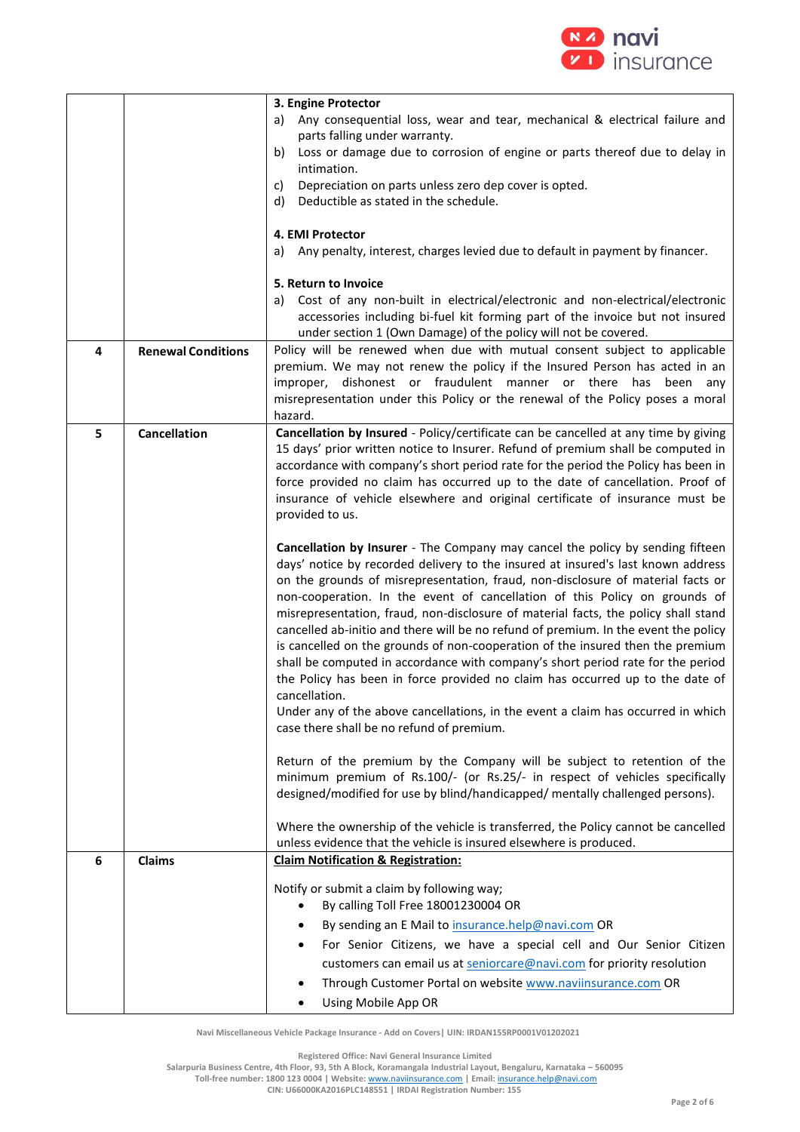

|   |                           | 3. Engine Protector                                                                                                                                                 |
|---|---------------------------|---------------------------------------------------------------------------------------------------------------------------------------------------------------------|
|   |                           | Any consequential loss, wear and tear, mechanical & electrical failure and<br>a)<br>parts falling under warranty.                                                   |
|   |                           | Loss or damage due to corrosion of engine or parts thereof due to delay in<br>b)<br>intimation.                                                                     |
|   |                           | Depreciation on parts unless zero dep cover is opted.<br>C)                                                                                                         |
|   |                           | Deductible as stated in the schedule.<br>d)                                                                                                                         |
|   |                           | 4. EMI Protector                                                                                                                                                    |
|   |                           | Any penalty, interest, charges levied due to default in payment by financer.<br>a)                                                                                  |
|   |                           | 5. Return to Invoice                                                                                                                                                |
|   |                           | Cost of any non-built in electrical/electronic and non-electrical/electronic<br>a)<br>accessories including bi-fuel kit forming part of the invoice but not insured |
| 4 | <b>Renewal Conditions</b> | under section 1 (Own Damage) of the policy will not be covered.<br>Policy will be renewed when due with mutual consent subject to applicable                        |
|   |                           | premium. We may not renew the policy if the Insured Person has acted in an                                                                                          |
|   |                           | dishonest or fraudulent manner or there has been any<br>improper,                                                                                                   |
|   |                           | misrepresentation under this Policy or the renewal of the Policy poses a moral                                                                                      |
| 5 | Cancellation              | hazard.<br>Cancellation by Insured - Policy/certificate can be cancelled at any time by giving                                                                      |
|   |                           | 15 days' prior written notice to Insurer. Refund of premium shall be computed in                                                                                    |
|   |                           | accordance with company's short period rate for the period the Policy has been in                                                                                   |
|   |                           | force provided no claim has occurred up to the date of cancellation. Proof of                                                                                       |
|   |                           | insurance of vehicle elsewhere and original certificate of insurance must be<br>provided to us.                                                                     |
|   |                           |                                                                                                                                                                     |
|   |                           | Cancellation by Insurer - The Company may cancel the policy by sending fifteen                                                                                      |
|   |                           | days' notice by recorded delivery to the insured at insured's last known address                                                                                    |
|   |                           | on the grounds of misrepresentation, fraud, non-disclosure of material facts or<br>non-cooperation. In the event of cancellation of this Policy on grounds of       |
|   |                           | misrepresentation, fraud, non-disclosure of material facts, the policy shall stand                                                                                  |
|   |                           | cancelled ab-initio and there will be no refund of premium. In the event the policy                                                                                 |
|   |                           | is cancelled on the grounds of non-cooperation of the insured then the premium                                                                                      |
|   |                           | shall be computed in accordance with company's short period rate for the period<br>the Policy has been in force provided no claim has occurred up to the date of    |
|   |                           | cancellation                                                                                                                                                        |
|   |                           | Under any of the above cancellations, in the event a claim has occurred in which                                                                                    |
|   |                           | case there shall be no refund of premium.                                                                                                                           |
|   |                           | Return of the premium by the Company will be subject to retention of the                                                                                            |
|   |                           | minimum premium of Rs.100/- (or Rs.25/- in respect of vehicles specifically                                                                                         |
|   |                           | designed/modified for use by blind/handicapped/ mentally challenged persons).                                                                                       |
|   |                           | Where the ownership of the vehicle is transferred, the Policy cannot be cancelled                                                                                   |
|   |                           | unless evidence that the vehicle is insured elsewhere is produced.                                                                                                  |
| 6 | Claims                    | <b>Claim Notification &amp; Registration:</b>                                                                                                                       |
|   |                           | Notify or submit a claim by following way;                                                                                                                          |
|   |                           | By calling Toll Free 18001230004 OR<br>٠                                                                                                                            |
|   |                           | By sending an E Mail to insurance.help@navi.com OR                                                                                                                  |
|   |                           | For Senior Citizens, we have a special cell and Our Senior Citizen<br>٠                                                                                             |
|   |                           | customers can email us at seniorcare@navi.com for priority resolution                                                                                               |
|   |                           | Through Customer Portal on website www.naviinsurance.com OR                                                                                                         |
|   |                           | Using Mobile App OR<br>٠                                                                                                                                            |

**Registered Office: Navi General Insurance Limited**

**Salarpuria Business Centre, 4th Floor, 93, 5th A Block, Koramangala Industrial Layout, Bengaluru, Karnataka – 560095**

**Toll-free number: 1800 123 0004 | Website:** [www.naviinsurance.com](http://www.naviinsurance.com/) **| Email:** [insurance.help@navi.com](mailto:insurance.help@navi.com)

**CIN: U66000KA2016PLC148551 | IRDAI Registration Number: 155**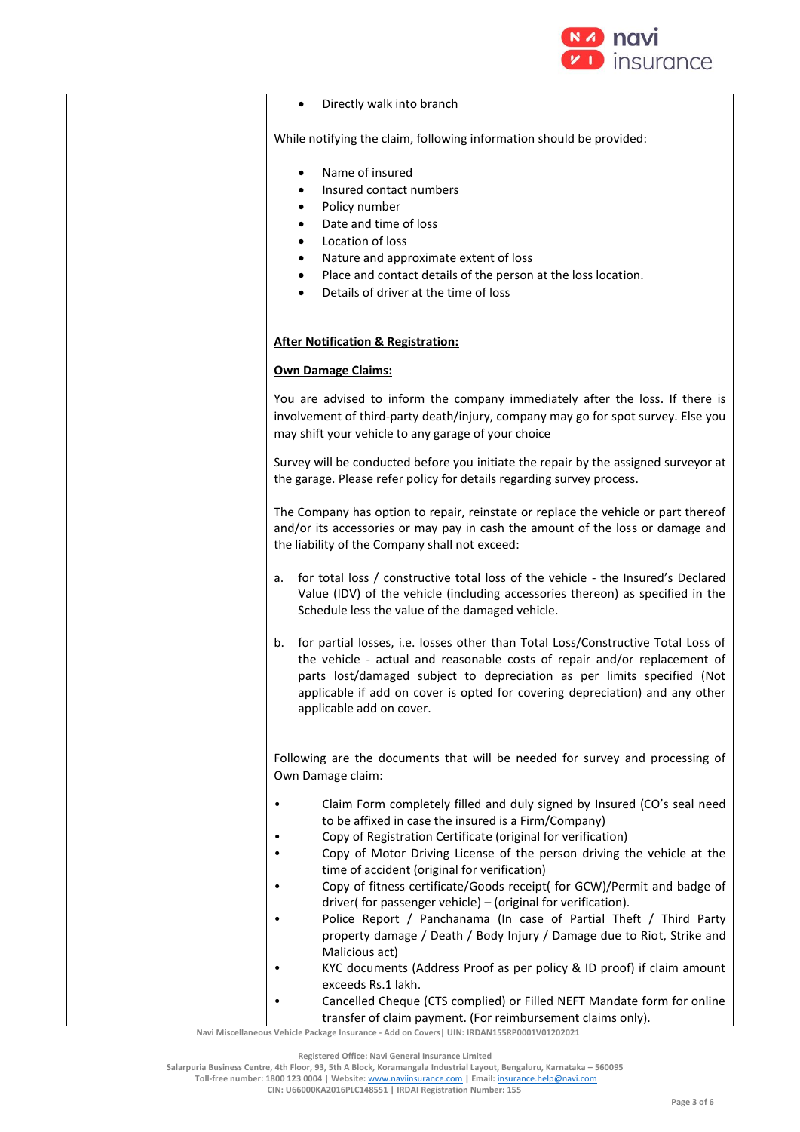

| Directly walk into branch<br>$\bullet$                                                                                                                                                                                                                                                                                                                                                                                                                                                                                                                                                                                                                                        |
|-------------------------------------------------------------------------------------------------------------------------------------------------------------------------------------------------------------------------------------------------------------------------------------------------------------------------------------------------------------------------------------------------------------------------------------------------------------------------------------------------------------------------------------------------------------------------------------------------------------------------------------------------------------------------------|
| While notifying the claim, following information should be provided:                                                                                                                                                                                                                                                                                                                                                                                                                                                                                                                                                                                                          |
| Name of insured<br>$\bullet$<br>Insured contact numbers<br>Policy number<br>$\bullet$<br>Date and time of loss<br>$\bullet$<br>Location of loss<br>$\bullet$<br>Nature and approximate extent of loss<br>٠<br>Place and contact details of the person at the loss location.<br>$\bullet$<br>Details of driver at the time of loss<br>$\bullet$                                                                                                                                                                                                                                                                                                                                |
| <b>After Notification &amp; Registration:</b>                                                                                                                                                                                                                                                                                                                                                                                                                                                                                                                                                                                                                                 |
| <b>Own Damage Claims:</b>                                                                                                                                                                                                                                                                                                                                                                                                                                                                                                                                                                                                                                                     |
| You are advised to inform the company immediately after the loss. If there is<br>involvement of third-party death/injury, company may go for spot survey. Else you<br>may shift your vehicle to any garage of your choice                                                                                                                                                                                                                                                                                                                                                                                                                                                     |
| Survey will be conducted before you initiate the repair by the assigned surveyor at<br>the garage. Please refer policy for details regarding survey process.                                                                                                                                                                                                                                                                                                                                                                                                                                                                                                                  |
| The Company has option to repair, reinstate or replace the vehicle or part thereof<br>and/or its accessories or may pay in cash the amount of the loss or damage and<br>the liability of the Company shall not exceed:                                                                                                                                                                                                                                                                                                                                                                                                                                                        |
| for total loss / constructive total loss of the vehicle - the Insured's Declared<br>a.<br>Value (IDV) of the vehicle (including accessories thereon) as specified in the<br>Schedule less the value of the damaged vehicle.                                                                                                                                                                                                                                                                                                                                                                                                                                                   |
| for partial losses, i.e. losses other than Total Loss/Constructive Total Loss of<br>b.<br>the vehicle - actual and reasonable costs of repair and/or replacement of<br>parts lost/damaged subject to depreciation as per limits specified (Not<br>applicable if add on cover is opted for covering depreciation) and any other<br>applicable add on cover.                                                                                                                                                                                                                                                                                                                    |
| Following are the documents that will be needed for survey and processing of<br>Own Damage claim:                                                                                                                                                                                                                                                                                                                                                                                                                                                                                                                                                                             |
| Claim Form completely filled and duly signed by Insured (CO's seal need<br>$\bullet$<br>to be affixed in case the insured is a Firm/Company)<br>Copy of Registration Certificate (original for verification)<br>Copy of Motor Driving License of the person driving the vehicle at the<br>time of accident (original for verification)<br>Copy of fitness certificate/Goods receipt( for GCW)/Permit and badge of<br>$\bullet$<br>driver(for passenger vehicle) - (original for verification).<br>Police Report / Panchanama (In case of Partial Theft / Third Party<br>$\bullet$<br>property damage / Death / Body Injury / Damage due to Riot, Strike and<br>Malicious act) |
| KYC documents (Address Proof as per policy & ID proof) if claim amount<br>exceeds Rs.1 lakh.<br>Cancelled Cheque (CTS complied) or Filled NEFT Mandate form for online                                                                                                                                                                                                                                                                                                                                                                                                                                                                                                        |

**Navi Miscellaneous Vehicle Package Insurance - Add on Covers| UIN: IRDAN155RP0001V01202021** transfer of claim payment. (For reimbursement claims only).

**Registered Office: Navi General Insurance Limited**

**Toll-free number: 1800 123 0004 | Website:** [www.naviinsurance.com](http://www.naviinsurance.com/) **| Email:** [insurance.help@navi.com](mailto:insurance.help@navi.com)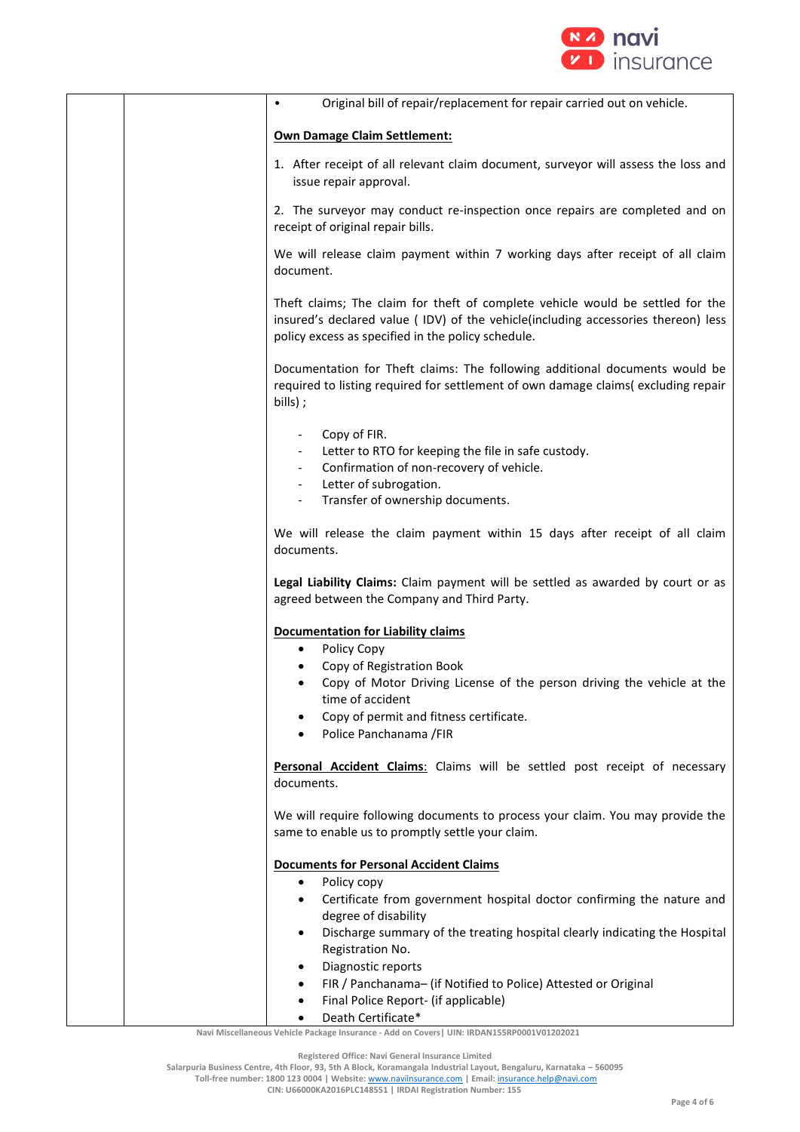

|  | Original bill of repair/replacement for repair carried out on vehicle.                                                                                                                                                     |
|--|----------------------------------------------------------------------------------------------------------------------------------------------------------------------------------------------------------------------------|
|  |                                                                                                                                                                                                                            |
|  | <b>Own Damage Claim Settlement:</b>                                                                                                                                                                                        |
|  | 1. After receipt of all relevant claim document, surveyor will assess the loss and<br>issue repair approval.                                                                                                               |
|  | 2. The surveyor may conduct re-inspection once repairs are completed and on<br>receipt of original repair bills.                                                                                                           |
|  | We will release claim payment within 7 working days after receipt of all claim<br>document.                                                                                                                                |
|  | Theft claims; The claim for theft of complete vehicle would be settled for the<br>insured's declared value ( IDV) of the vehicle(including accessories thereon) less<br>policy excess as specified in the policy schedule. |
|  | Documentation for Theft claims: The following additional documents would be<br>required to listing required for settlement of own damage claims(excluding repair<br>bills);                                                |
|  | Copy of FIR.                                                                                                                                                                                                               |
|  | Letter to RTO for keeping the file in safe custody.                                                                                                                                                                        |
|  | Confirmation of non-recovery of vehicle.<br>Letter of subrogation.                                                                                                                                                         |
|  | Transfer of ownership documents.                                                                                                                                                                                           |
|  | We will release the claim payment within 15 days after receipt of all claim<br>documents.                                                                                                                                  |
|  | Legal Liability Claims: Claim payment will be settled as awarded by court or as<br>agreed between the Company and Third Party.                                                                                             |
|  | <b>Documentation for Liability claims</b>                                                                                                                                                                                  |
|  | Policy Copy                                                                                                                                                                                                                |
|  | Copy of Registration Book<br>Copy of Motor Driving License of the person driving the vehicle at the                                                                                                                        |
|  | time of accident                                                                                                                                                                                                           |
|  | Copy of permit and fitness certificate.                                                                                                                                                                                    |
|  | Police Panchanama / FIR                                                                                                                                                                                                    |
|  | Personal Accident Claims: Claims will be settled post receipt of necessary<br>documents.                                                                                                                                   |
|  | We will require following documents to process your claim. You may provide the<br>same to enable us to promptly settle your claim.                                                                                         |
|  | <b>Documents for Personal Accident Claims</b>                                                                                                                                                                              |
|  | Policy copy<br>$\bullet$                                                                                                                                                                                                   |
|  | Certificate from government hospital doctor confirming the nature and<br>degree of disability                                                                                                                              |
|  | Discharge summary of the treating hospital clearly indicating the Hospital<br>Registration No.                                                                                                                             |
|  | Diagnostic reports                                                                                                                                                                                                         |
|  | FIR / Panchanama- (if Notified to Police) Attested or Original                                                                                                                                                             |
|  | Final Police Report- (if applicable)                                                                                                                                                                                       |
|  | Death Certificate*                                                                                                                                                                                                         |

**Registered Office: Navi General Insurance Limited**

**Salarpuria Business Centre, 4th Floor, 93, 5th A Block, Koramangala Industrial Layout, Bengaluru, Karnataka – 560095**

**Toll-free number: 1800 123 0004 | Website:** [www.naviinsurance.com](http://www.naviinsurance.com/) **| Email:** [insurance.help@navi.com](mailto:insurance.help@navi.com)

**CIN: U66000KA2016PLC148551 | IRDAI Registration Number: 155**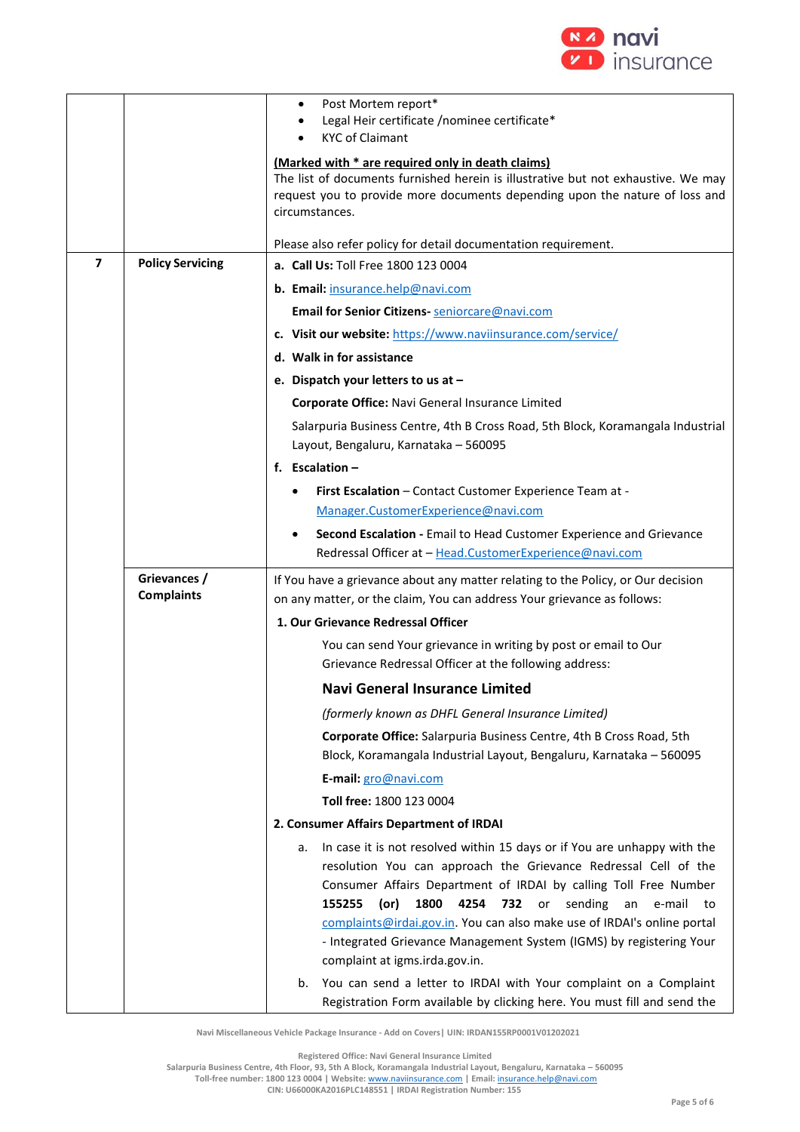

|                         |                                   | Post Mortem report*<br>٠<br>Legal Heir certificate /nominee certificate*<br><b>KYC of Claimant</b><br>(Marked with * are required only in death claims)<br>The list of documents furnished herein is illustrative but not exhaustive. We may<br>request you to provide more documents depending upon the nature of loss and<br>circumstances.                                                                                                                                    |
|-------------------------|-----------------------------------|----------------------------------------------------------------------------------------------------------------------------------------------------------------------------------------------------------------------------------------------------------------------------------------------------------------------------------------------------------------------------------------------------------------------------------------------------------------------------------|
|                         |                                   | Please also refer policy for detail documentation requirement.                                                                                                                                                                                                                                                                                                                                                                                                                   |
| $\overline{\mathbf{z}}$ | <b>Policy Servicing</b>           | a. Call Us: Toll Free 1800 123 0004                                                                                                                                                                                                                                                                                                                                                                                                                                              |
|                         |                                   | b. Email: insurance.help@navi.com                                                                                                                                                                                                                                                                                                                                                                                                                                                |
|                         |                                   | Email for Senior Citizens- seniorcare@navi.com                                                                                                                                                                                                                                                                                                                                                                                                                                   |
|                         |                                   | c. Visit our website: https://www.naviinsurance.com/service/                                                                                                                                                                                                                                                                                                                                                                                                                     |
|                         |                                   | d. Walk in for assistance                                                                                                                                                                                                                                                                                                                                                                                                                                                        |
|                         |                                   | e. Dispatch your letters to us at -                                                                                                                                                                                                                                                                                                                                                                                                                                              |
|                         |                                   | Corporate Office: Navi General Insurance Limited                                                                                                                                                                                                                                                                                                                                                                                                                                 |
|                         |                                   | Salarpuria Business Centre, 4th B Cross Road, 5th Block, Koramangala Industrial<br>Layout, Bengaluru, Karnataka - 560095                                                                                                                                                                                                                                                                                                                                                         |
|                         |                                   | f. Escalation $-$                                                                                                                                                                                                                                                                                                                                                                                                                                                                |
|                         |                                   | First Escalation - Contact Customer Experience Team at -                                                                                                                                                                                                                                                                                                                                                                                                                         |
|                         |                                   | Manager.CustomerExperience@navi.com                                                                                                                                                                                                                                                                                                                                                                                                                                              |
|                         |                                   | Second Escalation - Email to Head Customer Experience and Grievance<br>Redressal Officer at - Head.CustomerExperience@navi.com                                                                                                                                                                                                                                                                                                                                                   |
|                         | Grievances /<br><b>Complaints</b> | If You have a grievance about any matter relating to the Policy, or Our decision<br>on any matter, or the claim, You can address Your grievance as follows:                                                                                                                                                                                                                                                                                                                      |
|                         |                                   | 1. Our Grievance Redressal Officer                                                                                                                                                                                                                                                                                                                                                                                                                                               |
|                         |                                   | You can send Your grievance in writing by post or email to Our<br>Grievance Redressal Officer at the following address:                                                                                                                                                                                                                                                                                                                                                          |
|                         |                                   | <b>Navi General Insurance Limited</b>                                                                                                                                                                                                                                                                                                                                                                                                                                            |
|                         |                                   | (formerly known as DHFL General Insurance Limited)                                                                                                                                                                                                                                                                                                                                                                                                                               |
|                         |                                   | Corporate Office: Salarpuria Business Centre, 4th B Cross Road, 5th<br>Block, Koramangala Industrial Layout, Bengaluru, Karnataka - 560095                                                                                                                                                                                                                                                                                                                                       |
|                         |                                   | E-mail: gro@navi.com                                                                                                                                                                                                                                                                                                                                                                                                                                                             |
|                         |                                   | Toll free: 1800 123 0004                                                                                                                                                                                                                                                                                                                                                                                                                                                         |
|                         |                                   | 2. Consumer Affairs Department of IRDAI                                                                                                                                                                                                                                                                                                                                                                                                                                          |
|                         |                                   | In case it is not resolved within 15 days or if You are unhappy with the<br>a.<br>resolution You can approach the Grievance Redressal Cell of the<br>Consumer Affairs Department of IRDAI by calling Toll Free Number<br>1800<br>4254 732 or sending<br>155255<br>(or)<br>an<br>e-mail<br>to<br>complaints@irdai.gov.in. You can also make use of IRDAI's online portal<br>- Integrated Grievance Management System (IGMS) by registering Your<br>complaint at igms.irda.gov.in. |
|                         |                                   | You can send a letter to IRDAI with Your complaint on a Complaint<br>b.<br>Registration Form available by clicking here. You must fill and send the                                                                                                                                                                                                                                                                                                                              |

**Registered Office: Navi General Insurance Limited**

**Salarpuria Business Centre, 4th Floor, 93, 5th A Block, Koramangala Industrial Layout, Bengaluru, Karnataka – 560095 Toll-free number: 1800 123 0004 | Website:** [www.naviinsurance.com](http://www.naviinsurance.com/) **| Email:** [insurance.help@navi.com](mailto:insurance.help@navi.com)

**CIN: U66000KA2016PLC148551 | IRDAI Registration Number: 155**